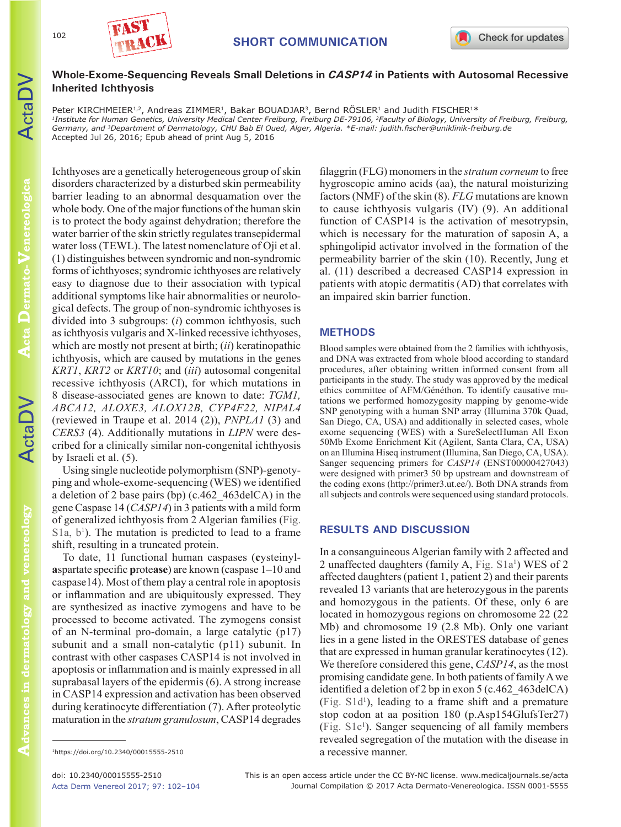

# **Whole-Exome-Sequencing Reveals Small Deletions in** *CASP14* **in Patients with Autosomal Recessive Inherited Ichthyosis**

Peter KIRCHMEIER<sup>1,2</sup>, Andreas ZIMMER<sup>1</sup>, Bakar BOUADJAR<sup>3</sup>, Bernd RÖSLER<sup>1</sup> and Judith FISCHER<sup>1\*</sup> *1Institute for Human Genetics, University Medical Center Freiburg, Freiburg DE-79106, 2Faculty of Biology, University of Freiburg, Freiburg, Germany, and 3Department of Dermatology, CHU Bab El Oued, Alger, Algeria. \*E-mail: judith.fischer@uniklinik-freiburg.de* Accepted Jul 26, 2016; Epub ahead of print Aug 5, 2016

ActaDV

102

Ichthyoses are a genetically heterogeneous group of skin disorders characterized by a disturbed skin permeability barrier leading to an abnormal desquamation over the whole body. One of the major functions of the human skin is to protect the body against dehydration; therefore the water barrier of the skin strictly regulates transepidermal water loss (TEWL). The latest nomenclature of Oji et al. (1) distinguishes between syndromic and non-syndromic forms of ichthyoses; syndromic ichthyoses are relatively easy to diagnose due to their association with typical additional symptoms like hair abnormalities or neurological defects. The group of non-syndromic ichthyoses is divided into 3 subgroups: (*i*) common ichthyosis, such as ichthyosis vulgaris and X-linked recessive ichthyoses, which are mostly not present at birth; (*ii*) keratinopathic ichthyosis, which are caused by mutations in the genes *KRT1*, *KRT2* or *KRT10*; and (*iii*) autosomal congenital recessive ichthyosis (ARCI), for which mutations in 8 disease-associated genes are known to date: *TGM1, ABCA12, ALOXE3, ALOX12B, CYP4F22, NIPAL4* (reviewed in Traupe et al. 2014 (2)), *PNPLA1* (3) and *CERS3* (4). Additionally mutations in *LIPN* were described for a clinically similar non-congenital ichthyosis by Israeli et al. (5).

Using single nucleotide polymorphism (SNP)-genotyping and whole-exome-sequencing (WES) we identified a deletion of 2 base pairs (bp) (c.462\_463delCA) in the gene Caspase 14 (*CASP14*) in 3 patients with a mild form of generalized ichthyosis from 2 Algerian families ([Fig.](https://doi.org/10.2340/00015555-2510)   $S1a, b<sup>1</sup>$  $S1a, b<sup>1</sup>$ ). The mutation is predicted to lead to a frame shift, resulting in a truncated protein.

To date, 11 functional human caspases (**c**ysteinyl**a**spartate specific **p**rote**ase**) are known (caspase 1–10 and caspase14). Most of them play a central role in apoptosis or inflammation and are ubiquitously expressed. They are synthesized as inactive zymogens and have to be processed to become activated. The zymogens consist of an N-terminal pro-domain, a large catalytic (p17) subunit and a small non-catalytic (p11) subunit. In contrast with other caspases CASP14 is not involved in apoptosis or inflammation and is mainly expressed in all suprabasal layers of the epidermis (6). A strong increase in CASP14 expression and activation has been observed during keratinocyte differentiation (7). After proteolytic maturation in the *stratum granulosum*, CASP14 degrades

filaggrin (FLG) monomers in the *stratum corneum* to free hygroscopic amino acids (aa), the natural moisturizing factors (NMF) of the skin (8). *FLG* mutations are known to cause ichthyosis vulgaris (IV) (9). An additional function of CASP14 is the activation of mesotrypsin, which is necessary for the maturation of saposin A, a sphingolipid activator involved in the formation of the permeability barrier of the skin (10). Recently, Jung et al. (11) described a decreased CASP14 expression in patients with atopic dermatitis (AD) that correlates with an impaired skin barrier function.

## **METHODS**

Blood samples were obtained from the 2 families with ichthyosis, and DNA was extracted from whole blood according to standard procedures, after obtaining written informed consent from all participants in the study. The study was approved by the medical ethics committee of AFM/Généthon. To identify causative mutations we performed homozygosity mapping by genome-wide SNP genotyping with a human SNP array (Illumina 370k Quad, San Diego, CA, USA) and additionally in selected cases, whole exome sequencing (WES) with a SureSelectHuman All Exon 50Mb Exome Enrichment Kit (Agilent, Santa Clara, CA, USA) on an Illumina Hiseq instrument (Illumina, San Diego, CA, USA). Sanger sequencing primers for *CASP14* (ENST00000427043) were designed with primer3 50 bp upstream and downstream of the coding exons (http://primer3.ut.ee/). Both DNA strands from all subjects and controls were sequenced using standard protocols.

# **RESULTS AND DISCUSSION**

In a consanguineous Algerian family with 2 affected and 2 unaffected daughters (family A, Fig. S1a<sup>1</sup>) WES of 2 affected daughters (patient 1, patient 2) and their parents revealed 13 variants that are heterozygous in the parents and homozygous in the patients. Of these, only 6 are located in homozygous regions on chromosome 22 (22 Mb) and chromosome 19 (2.8 Mb). Only one variant lies in a gene listed in the ORESTES database of genes that are expressed in human granular keratinocytes (12). We therefore considered this gene, *CASP14*, as the most promising candidate gene. In both patients of family A we identified a deletion of 2 bp in exon 5 (c.462\_463delCA) [\(Fig. S1d](https://doi.org/10.2340/00015555-2510)1 ), leading to a frame shift and a premature stop codon at aa position 180 (p.Asp154GlufsTer27) [\(Fig. S1c](https://doi.org/10.2340/00015555-2510)1 ). Sanger sequencing of all family members revealed segregation of the mutation with the disease in a recessive manner.

<sup>1</sup>https://doi.org/10.2340/00015555-2510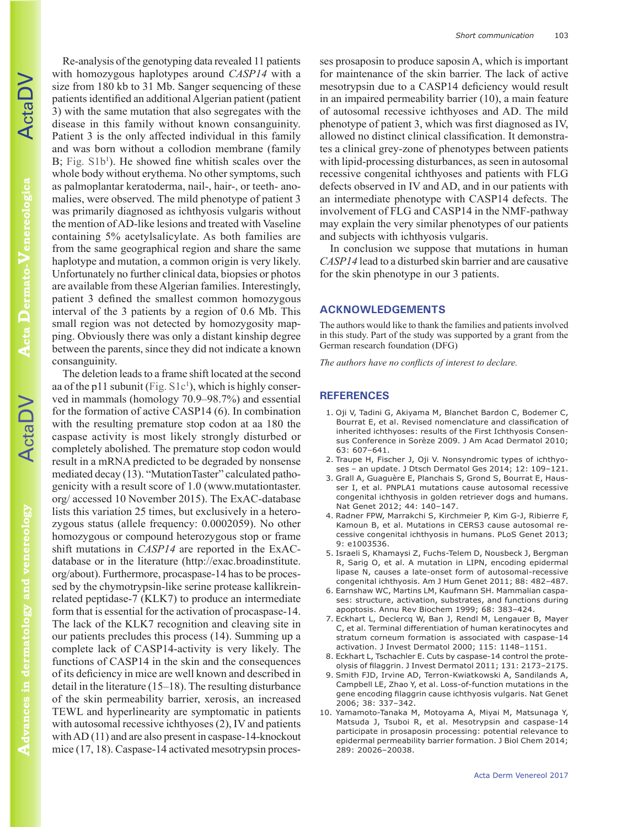ActaDV

Advances in dermatology and venereology **Advances in dermatology and venereology**

Re-analysis of the genotyping data revealed 11 patients with homozygous haplotypes around *CASP14* with a size from 180 kb to 31 Mb. Sanger sequencing of these patients identified an additional Algerian patient (patient 3) with the same mutation that also segregates with the disease in this family without known consanguinity. Patient 3 is the only affected individual in this family and was born without a collodion membrane (family B; Fig. S1b<sup>1</sup>). He showed fine whitish scales over the whole body without erythema. No other symptoms, such as palmoplantar keratoderma, nail-, hair-, or teeth- anomalies, were observed. The mild phenotype of patient 3 was primarily diagnosed as ichthyosis vulgaris without the mention of AD-like lesions and treated with Vaseline containing 5% acetylsalicylate. As both families are from the same geographical region and share the same haplotype and mutation, a common origin is very likely. Unfortunately no further clinical data, biopsies or photos are available from these Algerian families. Interestingly, patient 3 defined the smallest common homozygous interval of the 3 patients by a region of 0.6 Mb. This small region was not detected by homozygosity mapping. Obviously there was only a distant kinship degree between the parents, since they did not indicate a known consanguinity.

The deletion leads to a frame shift located at the second aa of the p11 subunit [\(Fig. S1c](https://doi.org/10.2340/00015555-2510)<sup>1</sup>), which is highly conserved in mammals (homology 70.9–98.7%) and essential for the formation of active CASP14 (6). In combination with the resulting premature stop codon at aa 180 the caspase activity is most likely strongly disturbed or completely abolished. The premature stop codon would result in a mRNA predicted to be degraded by nonsense mediated decay (13). "MutationTaster" calculated pathogenicity with a result score of 1.0 (www.mutationtaster. org/ accessed 10 November 2015). The ExAC-database lists this variation 25 times, but exclusively in a heterozygous status (allele frequency: 0.0002059). No other homozygous or compound heterozygous stop or frame shift mutations in *CASP14* are reported in the ExACdatabase or in the literature (http://exac.broadinstitute. org/about). Furthermore, procaspase-14 has to be processed by the chymotrypsin-like serine protease kallikreinrelated peptidase-7 (KLK7) to produce an intermediate form that is essential for the activation of procaspase-14. The lack of the KLK7 recognition and cleaving site in our patients precludes this process (14). Summing up a complete lack of CASP14-activity is very likely. The functions of CASP14 in the skin and the consequences of its deficiency in mice are well known and described in detail in the literature (15–18). The resulting disturbance of the skin permeability barrier, xerosis, an increased TEWL and hyperlinearity are symptomatic in patients with autosomal recessive ichthyoses (2), IV and patients with AD (11) and are also present in caspase-14-knockout mice (17, 18). Caspase-14 activated mesotrypsin processes prosaposin to produce saposin A, which is important for maintenance of the skin barrier. The lack of active mesotrypsin due to a CASP14 deficiency would result in an impaired permeability barrier (10), a main feature of autosomal recessive ichthyoses and AD. The mild phenotype of patient 3, which was first diagnosed as IV, allowed no distinct clinical classification. It demonstrates a clinical grey-zone of phenotypes between patients with lipid-processing disturbances, as seen in autosomal recessive congenital ichthyoses and patients with FLG defects observed in IV and AD, and in our patients with an intermediate phenotype with CASP14 defects. The involvement of FLG and CASP14 in the NMF-pathway may explain the very similar phenotypes of our patients and subjects with ichthyosis vulgaris.

In conclusion we suppose that mutations in human *CASP14* lead to a disturbed skin barrier and are causative for the skin phenotype in our 3 patients.

### **ACKNOWLEDGEMENTS**

The authors would like to thank the families and patients involved in this study. Part of the study was supported by a grant from the German research foundation (DFG)

*The authors have no conflicts of interest to declare.*

#### **REFERENCES**

- 1. Oji V, Tadini G, Akiyama M, Blanchet Bardon C, Bodemer C, Bourrat E, et al. Revised nomenclature and classification of inherited ichthyoses: results of the First Ichthyosis Consensus Conference in Sorèze 2009. J Am Acad Dermatol 2010; 63: 607–641.
- 2. Traupe H, Fischer J, Oji V. Nonsyndromic types of ichthyoses – an update. J Dtsch Dermatol Ges 2014; 12: 109–121.
- 3. Grall A, Guaguère E, Planchais S, Grond S, Bourrat E, Hausser I, et al. PNPLA1 mutations cause autosomal recessive congenital ichthyosis in golden retriever dogs and humans. Nat Genet 2012; 44: 140–147.
- 4. Radner FPW, Marrakchi S, Kirchmeier P, Kim G-J, Ribierre F, Kamoun B, et al. Mutations in CERS3 cause autosomal recessive congenital ichthyosis in humans. PLoS Genet 2013; 9: e1003536.
- 5. Israeli S, Khamaysi Z, Fuchs-Telem D, Nousbeck J, Bergman R, Sarig O, et al. A mutation in LIPN, encoding epidermal lipase N, causes a late-onset form of autosomal-recessive congenital ichthyosis. Am J Hum Genet 2011; 88: 482–487.
- 6. Earnshaw WC, Martins LM, Kaufmann SH. Mammalian caspases: structure, activation, substrates, and functions during apoptosis. Annu Rev Biochem 1999; 68: 383–424.
- 7. Eckhart L, Declercq W, Ban J, Rendl M, Lengauer B, Mayer C, et al. Terminal differentiation of human keratinocytes and stratum corneum formation is associated with caspase-14 activation. J Invest Dermatol 2000; 115: 1148–1151.
- 8. Eckhart L, Tschachler E. Cuts by caspase-14 control the proteolysis of filaggrin. J Invest Dermatol 2011; 131: 2173–2175.
- 9. Smith FJD, Irvine AD, Terron-Kwiatkowski A, Sandilands A, Campbell LE, Zhao Y, et al. Loss-of-function mutations in the gene encoding filaggrin cause ichthyosis vulgaris. Nat Genet 2006; 38: 337–342.
- 10. Yamamoto-Tanaka M, Motoyama A, Miyai M, Matsunaga Y, Matsuda J, Tsuboi R, et al. Mesotrypsin and caspase-14 participate in prosaposin processing: potential relevance to epidermal permeability barrier formation. J Biol Chem 2014; 289: 20026–20038.